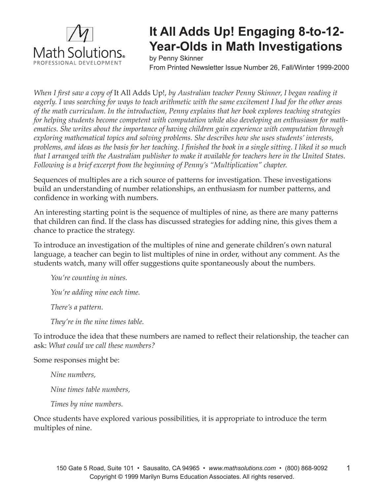

## **It All Adds Up! Engaging 8-to-12- Year-Olds in Math Investigations**

by Penny Skinner

From Printed Newsletter Issue Number 26, Fall/Winter 1999-2000

*When I first saw a copy of It All Adds Up!, by Australian teacher Penny Skinner, I began reading it eagerly. I was searching for ways to teach arithmetic with the same excitement I had for the other areas of the math curriculum. In the introduction, Penny explains that her book explores teaching strategies for helping students become competent with computation while also developing an enthusiasm for mathematics. She writes about the importance of having children gain experience with computation through exploring mathematical topics and solving problems. She describes how she uses students' interests,*  problems, and ideas as the basis for her teaching. I finished the book in a single sitting. I liked it so much *that I arranged with the Australian publisher to make it available for teachers here in the United States. Following is a brief excerpt from the beginning of Penny's "Multiplication" chapter.*

Sequences of multiples are a rich source of patterns for investigation. These investigations build an understanding of number relationships, an enthusiasm for number patterns, and confidence in working with numbers.

An interesting starting point is the sequence of multiples of nine, as there are many patterns that children can find. If the class has discussed strategies for adding nine, this gives them a chance to practice the strategy.

To introduce an investigation of the multiples of nine and generate children's own natural language, a teacher can begin to list multiples of nine in order, without any comment. As the students watch, many will offer suggestions quite spontaneously about the numbers.

*You're counting in nines.*

*You're adding nine each time.*

*There's a pattern.*

*They're in the nine times table.* 

To introduce the idea that these numbers are named to reflect their relationship, the teacher can ask: *What could we call these numbers?* 

Some responses might be:

*Nine numbers,*

*Nine times table numbers,*

*Times by nine numbers.*

Once students have explored various possibilities, it is appropriate to introduce the term multiples of nine.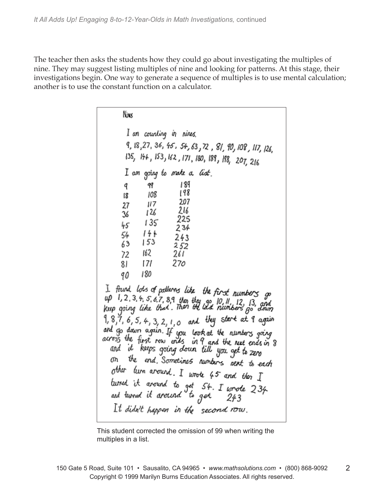The teacher then asks the students how they could go about investigating the multiples of nine. They may suggest listing multiples of nine and looking for patterns. At this stage, their investigations begin. One way to generate a sequence of multiples is to use mental calculation; another is to use the constant function on a calculator.

| Nins                                                                                                                 |
|----------------------------------------------------------------------------------------------------------------------|
| I am counting in nines.                                                                                              |
| 9, 18,27, 36, 45, 54, 63, 72, 81, 90, 108, 117, 126,                                                                 |
| 135, 144, 153, 162, 171, 180, 189, 198, 207, 216                                                                     |
| I am going to make a <i>list</i> ,                                                                                   |
| 189<br>q<br>99                                                                                                       |
| 198<br>108<br>18<br>207                                                                                              |
| 117<br>27<br>216<br>126                                                                                              |
| 36<br>225<br>135<br>45                                                                                               |
| 234<br>144<br>54                                                                                                     |
| 243<br>153<br>63<br>252                                                                                              |
| 162<br>72<br>261                                                                                                     |
| 270<br>171<br>81                                                                                                     |
| 180<br>90                                                                                                            |
| I found lots of pallerns like, the first numbers go                                                                  |
| up 1, 2, 3, 4, 5, 6, 7, 8, 9 then they go 10, 11, 12, 13, and<br>keep going like that. Then the last numbers go down |
|                                                                                                                      |
| 9, 8,7, 6, 5, 4, 3, 2, 1, 0 and they start at 9 again                                                                |
| and go down again. If you look at the numbers going                                                                  |
| across the first row ends in 9 and the next ends in 8<br>and it keeps goin <i>g</i> down till you get to zero        |
| the end Sometimes numbers next to each<br>መነ                                                                         |
| other lum around. I wrote 45 and then $I$                                                                            |
| burned it around to get 54. I wrote 234                                                                              |
| and lumud it around <sup>o</sup> to got<br>243                                                                       |
| $It$ didn't happen in the second row.                                                                                |
|                                                                                                                      |

This student corrected the omission of 99 when writing the multiples in a list.